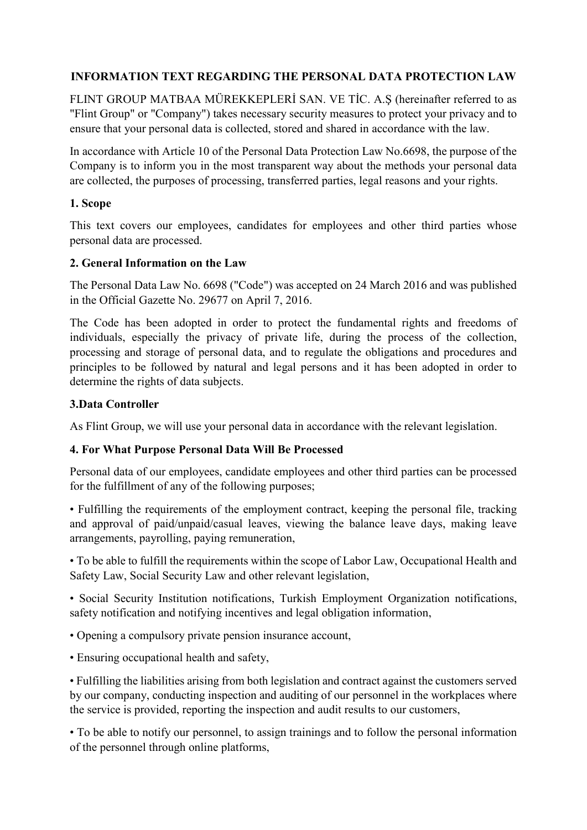## **INFORMATION TEXT REGARDING THE PERSONAL DATA PROTECTION LAW**

FLINT GROUP MATBAA MÜREKKEPLERİ SAN. VE TİC. A.Ş (hereinafter referred to as "Flint Group" or "Company") takes necessary security measures to protect your privacy and to ensure that your personal data is collected, stored and shared in accordance with the law.

In accordance with Article 10 of the Personal Data Protection Law No.6698, the purpose of the Company is to inform you in the most transparent way about the methods your personal data are collected, the purposes of processing, transferred parties, legal reasons and your rights.

#### **1. Scope**

This text covers our employees, candidates for employees and other third parties whose personal data are processed.

#### **2. General Information on the Law**

The Personal Data Law No. 6698 ("Code") was accepted on 24 March 2016 and was published in the Official Gazette No. 29677 on April 7, 2016.

The Code has been adopted in order to protect the fundamental rights and freedoms of individuals, especially the privacy of private life, during the process of the collection, processing and storage of personal data, and to regulate the obligations and procedures and principles to be followed by natural and legal persons and it has been adopted in order to determine the rights of data subjects.

### **3.Data Controller**

As Flint Group, we will use your personal data in accordance with the relevant legislation.

#### **4. For What Purpose Personal Data Will Be Processed**

Personal data of our employees, candidate employees and other third parties can be processed for the fulfillment of any of the following purposes;

• Fulfilling the requirements of the employment contract, keeping the personal file, tracking and approval of paid/unpaid/casual leaves, viewing the balance leave days, making leave arrangements, payrolling, paying remuneration,

• To be able to fulfill the requirements within the scope of Labor Law, Occupational Health and Safety Law, Social Security Law and other relevant legislation,

• Social Security Institution notifications, Turkish Employment Organization notifications, safety notification and notifying incentives and legal obligation information,

- Opening a compulsory private pension insurance account,
- Ensuring occupational health and safety,

• Fulfilling the liabilities arising from both legislation and contract against the customers served by our company, conducting inspection and auditing of our personnel in the workplaces where the service is provided, reporting the inspection and audit results to our customers,

• To be able to notify our personnel, to assign trainings and to follow the personal information of the personnel through online platforms,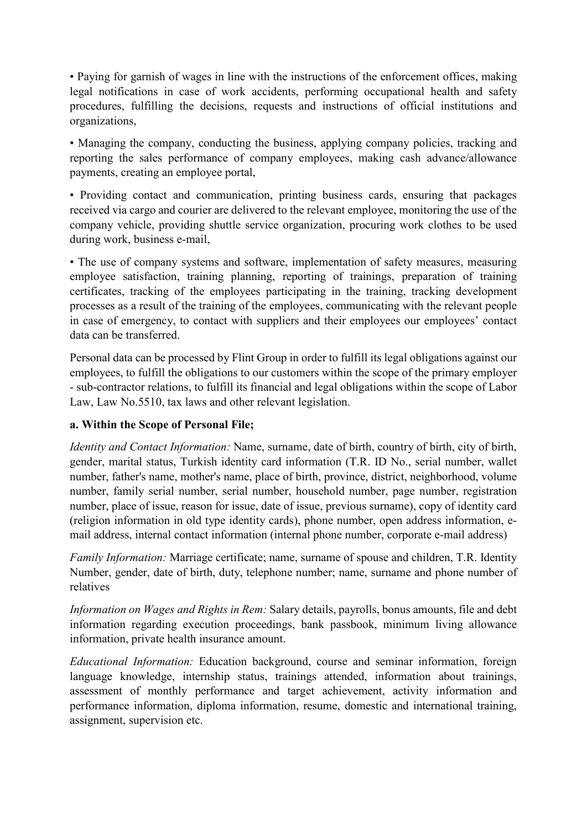• Paying for garnish of wages in line with the instructions of the enforcement offices, making legal notifications in case of work accidents, performing occupational health and safety procedures, fulfilling the decisions, requests and instructions of official institutions and organizations,

• Managing the company, conducting the business, applying company policies, tracking and reporting the sales performance of company employees, making cash advance/allowance payments, creating an employee portal,

• Providing contact and communication, printing business cards, ensuring that packages received via cargo and courier are delivered to the relevant employee, monitoring the use of the company vehicle, providing shuttle service organization, procuring work clothes to be used during work, business e-mail,

• The use of company systems and software, implementation of safety measures, measuring employee satisfaction, training planning, reporting of trainings, preparation of training certificates, tracking of the employees participating in the training, tracking development processes as a result of the training of the employees, communicating with the relevant people in case of emergency, to contact with suppliers and their employees our employees' contact data can be transferred.

Personal data can be processed by Flint Group in order to fulfill its legal obligations against our employees, to fulfill the obligations to our customers within the scope of the primary employer - sub-contractor relations, to fulfill its financial and legal obligations within the scope of Labor Law, Law No.5510, tax laws and other relevant legislation.

# **a. Within the Scope of Personal File;**

*Identity and Contact Information:* Name, surname, date of birth, country of birth, city of birth, gender, marital status, Turkish identity card information (T.R. ID No., serial number, wallet number, father's name, mother's name, place of birth, province, district, neighborhood, volume number, family serial number, serial number, household number, page number, registration number, place of issue, reason for issue, date of issue, previous surname), copy of identity card (religion information in old type identity cards), phone number, open address information, email address, internal contact information (internal phone number, corporate e-mail address)

*Family Information:* Marriage certificate; name, surname of spouse and children, T.R. Identity Number, gender, date of birth, duty, telephone number; name, surname and phone number of relatives

*Information on Wages and Rights in Rem:* Salary details, payrolls, bonus amounts, file and debt information regarding execution proceedings, bank passbook, minimum living allowance information, private health insurance amount.

*Educational Information:* Education background, course and seminar information, foreign language knowledge, internship status, trainings attended, information about trainings, assessment of monthly performance and target achievement, activity information and performance information, diploma information, resume, domestic and international training, assignment, supervision etc.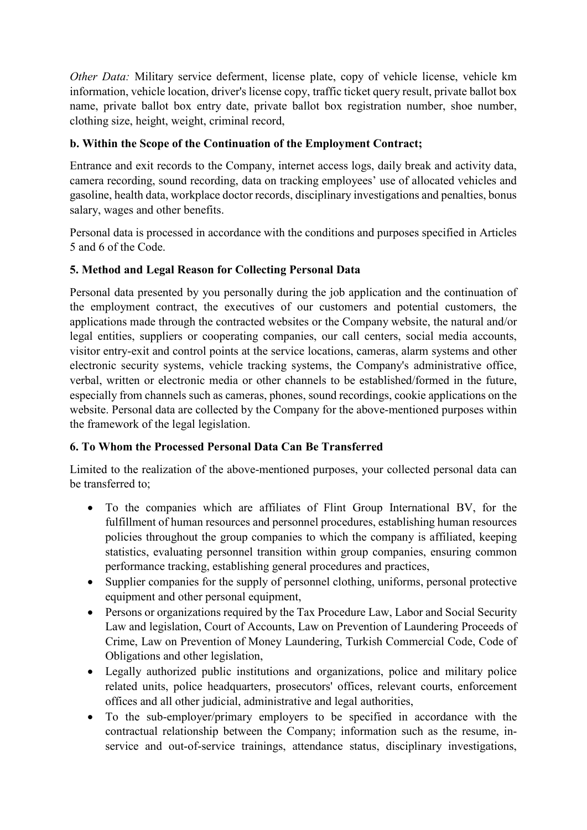*Other Data:* Military service deferment, license plate, copy of vehicle license, vehicle km information, vehicle location, driver's license copy, traffic ticket query result, private ballot box name, private ballot box entry date, private ballot box registration number, shoe number, clothing size, height, weight, criminal record,

# **b. Within the Scope of the Continuation of the Employment Contract;**

Entrance and exit records to the Company, internet access logs, daily break and activity data, camera recording, sound recording, data on tracking employees' use of allocated vehicles and gasoline, health data, workplace doctor records, disciplinary investigations and penalties, bonus salary, wages and other benefits.

Personal data is processed in accordance with the conditions and purposes specified in Articles 5 and 6 of the Code.

## **5. Method and Legal Reason for Collecting Personal Data**

Personal data presented by you personally during the job application and the continuation of the employment contract, the executives of our customers and potential customers, the applications made through the contracted websites or the Company website, the natural and/or legal entities, suppliers or cooperating companies, our call centers, social media accounts, visitor entry-exit and control points at the service locations, cameras, alarm systems and other electronic security systems, vehicle tracking systems, the Company's administrative office, verbal, written or electronic media or other channels to be established/formed in the future, especially from channels such as cameras, phones, sound recordings, cookie applications on the website. Personal data are collected by the Company for the above-mentioned purposes within the framework of the legal legislation.

### **6. To Whom the Processed Personal Data Can Be Transferred**

Limited to the realization of the above-mentioned purposes, your collected personal data can be transferred to;

- To the companies which are affiliates of Flint Group International BV, for the fulfillment of human resources and personnel procedures, establishing human resources policies throughout the group companies to which the company is affiliated, keeping statistics, evaluating personnel transition within group companies, ensuring common performance tracking, establishing general procedures and practices,
- Supplier companies for the supply of personnel clothing, uniforms, personal protective equipment and other personal equipment,
- Persons or organizations required by the Tax Procedure Law, Labor and Social Security Law and legislation, Court of Accounts, Law on Prevention of Laundering Proceeds of Crime, Law on Prevention of Money Laundering, Turkish Commercial Code, Code of Obligations and other legislation,
- Legally authorized public institutions and organizations, police and military police related units, police headquarters, prosecutors' offices, relevant courts, enforcement offices and all other judicial, administrative and legal authorities,
- To the sub-employer/primary employers to be specified in accordance with the contractual relationship between the Company; information such as the resume, inservice and out-of-service trainings, attendance status, disciplinary investigations,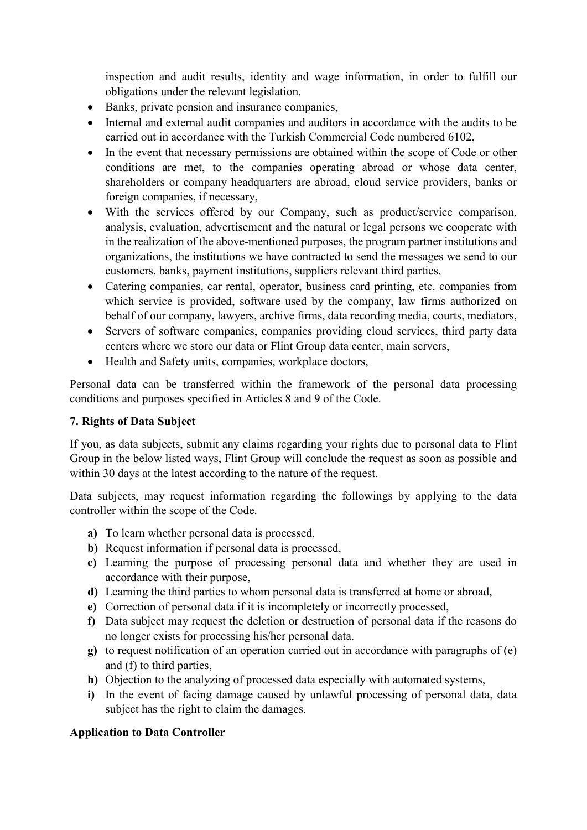inspection and audit results, identity and wage information, in order to fulfill our obligations under the relevant legislation.

- Banks, private pension and insurance companies,
- Internal and external audit companies and auditors in accordance with the audits to be carried out in accordance with the Turkish Commercial Code numbered 6102,
- In the event that necessary permissions are obtained within the scope of Code or other conditions are met, to the companies operating abroad or whose data center, shareholders or company headquarters are abroad, cloud service providers, banks or foreign companies, if necessary,
- With the services offered by our Company, such as product/service comparison, analysis, evaluation, advertisement and the natural or legal persons we cooperate with in the realization of the above-mentioned purposes, the program partner institutions and organizations, the institutions we have contracted to send the messages we send to our customers, banks, payment institutions, suppliers relevant third parties,
- Catering companies, car rental, operator, business card printing, etc. companies from which service is provided, software used by the company, law firms authorized on behalf of our company, lawyers, archive firms, data recording media, courts, mediators,
- Servers of software companies, companies providing cloud services, third party data centers where we store our data or Flint Group data center, main servers,
- Health and Safety units, companies, workplace doctors,

Personal data can be transferred within the framework of the personal data processing conditions and purposes specified in Articles 8 and 9 of the Code.

## **7. Rights of Data Subject**

If you, as data subjects, submit any claims regarding your rights due to personal data to Flint Group in the below listed ways, Flint Group will conclude the request as soon as possible and within 30 days at the latest according to the nature of the request.

Data subjects, may request information regarding the followings by applying to the data controller within the scope of the Code.

- **a)** To learn whether personal data is processed,
- **b)** Request information if personal data is processed,
- **c)** Learning the purpose of processing personal data and whether they are used in accordance with their purpose,
- **d)** Learning the third parties to whom personal data is transferred at home or abroad,
- **e)** Correction of personal data if it is incompletely or incorrectly processed,
- **f)** Data subject may request the deletion or destruction of personal data if the reasons do no longer exists for processing his/her personal data.
- **g)** to request notification of an operation carried out in accordance with paragraphs of (e) and (f) to third parties,
- **h)** Objection to the analyzing of processed data especially with automated systems,
- **i)** In the event of facing damage caused by unlawful processing of personal data, data subject has the right to claim the damages.

### **Application to Data Controller**